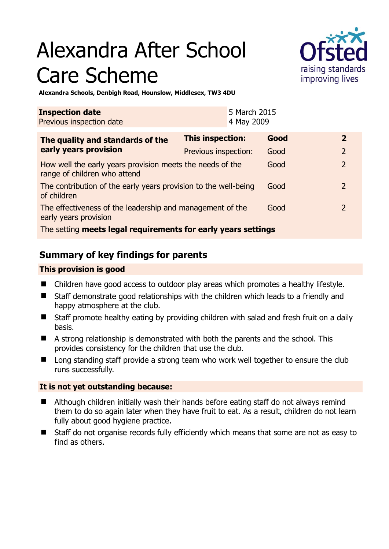# Alexandra After School Care Scheme



**Alexandra Schools, Denbigh Road, Hounslow, Middlesex, TW3 4DU** 

| <b>Inspection date</b><br>Previous inspection date                                        |                         | 5 March 2015<br>4 May 2009 |      |  |                |
|-------------------------------------------------------------------------------------------|-------------------------|----------------------------|------|--|----------------|
| The quality and standards of the<br>early years provision                                 | <b>This inspection:</b> |                            | Good |  | $\mathbf{2}$   |
|                                                                                           | Previous inspection:    |                            | Good |  | 2              |
| How well the early years provision meets the needs of the<br>range of children who attend |                         |                            | Good |  | $\overline{2}$ |
| The contribution of the early years provision to the well-being<br>of children            |                         |                            | Good |  | $\mathcal{L}$  |
| The effectiveness of the leadership and management of the<br>early years provision        |                         |                            | Good |  | $\mathcal{L}$  |
| The setting meets legal requirements for early years settings                             |                         |                            |      |  |                |

# **Summary of key findings for parents**

## **This provision is good**

- Children have good access to outdoor play areas which promotes a healthy lifestyle.
- Staff demonstrate good relationships with the children which leads to a friendly and happy atmosphere at the club.
- Staff promote healthy eating by providing children with salad and fresh fruit on a daily basis.
- A strong relationship is demonstrated with both the parents and the school. This provides consistency for the children that use the club.
- Long standing staff provide a strong team who work well together to ensure the club runs successfully.

## **It is not yet outstanding because:**

- Although children initially wash their hands before eating staff do not always remind them to do so again later when they have fruit to eat. As a result, children do not learn fully about good hygiene practice.
- Staff do not organise records fully efficiently which means that some are not as easy to find as others.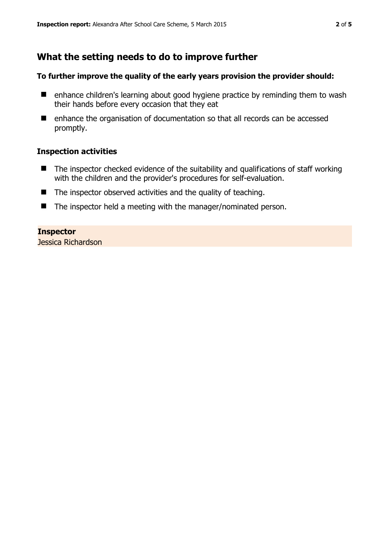# **What the setting needs to do to improve further**

#### **To further improve the quality of the early years provision the provider should:**

- enhance children's learning about good hygiene practice by reminding them to wash their hands before every occasion that they eat
- enhance the organisation of documentation so that all records can be accessed promptly.

#### **Inspection activities**

- $\blacksquare$  The inspector checked evidence of the suitability and qualifications of staff working with the children and the provider's procedures for self-evaluation.
- $\blacksquare$  The inspector observed activities and the quality of teaching.
- The inspector held a meeting with the manager/nominated person.

#### **Inspector**

Jessica Richardson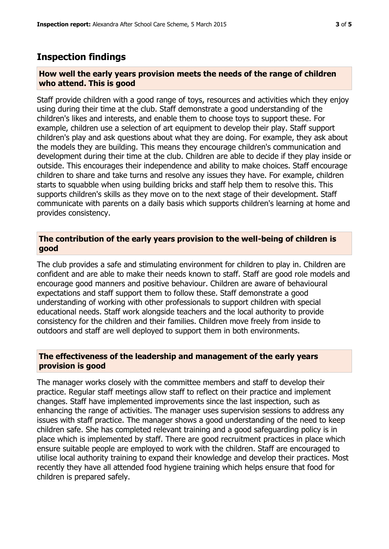## **Inspection findings**

#### **How well the early years provision meets the needs of the range of children who attend. This is good**

Staff provide children with a good range of toys, resources and activities which they enjoy using during their time at the club. Staff demonstrate a good understanding of the children's likes and interests, and enable them to choose toys to support these. For example, children use a selection of art equipment to develop their play. Staff support children's play and ask questions about what they are doing. For example, they ask about the models they are building. This means they encourage children's communication and development during their time at the club. Children are able to decide if they play inside or outside. This encourages their independence and ability to make choices. Staff encourage children to share and take turns and resolve any issues they have. For example, children starts to squabble when using building bricks and staff help them to resolve this. This supports children's skills as they move on to the next stage of their development. Staff communicate with parents on a daily basis which supports children's learning at home and provides consistency.

### **The contribution of the early years provision to the well-being of children is good**

The club provides a safe and stimulating environment for children to play in. Children are confident and are able to make their needs known to staff. Staff are good role models and encourage good manners and positive behaviour. Children are aware of behavioural expectations and staff support them to follow these. Staff demonstrate a good understanding of working with other professionals to support children with special educational needs. Staff work alongside teachers and the local authority to provide consistency for the children and their families. Children move freely from inside to outdoors and staff are well deployed to support them in both environments.

## **The effectiveness of the leadership and management of the early years provision is good**

The manager works closely with the committee members and staff to develop their practice. Regular staff meetings allow staff to reflect on their practice and implement changes. Staff have implemented improvements since the last inspection, such as enhancing the range of activities. The manager uses supervision sessions to address any issues with staff practice. The manager shows a good understanding of the need to keep children safe. She has completed relevant training and a good safeguarding policy is in place which is implemented by staff. There are good recruitment practices in place which ensure suitable people are employed to work with the children. Staff are encouraged to utilise local authority training to expand their knowledge and develop their practices. Most recently they have all attended food hygiene training which helps ensure that food for children is prepared safely.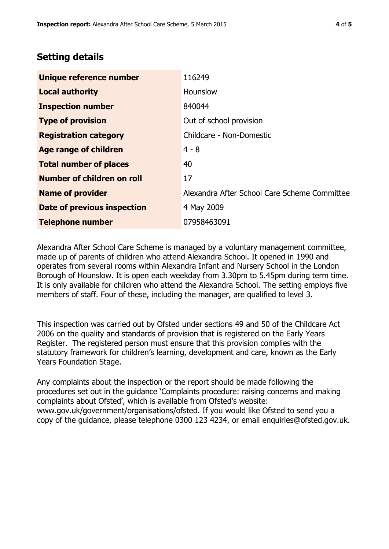# **Setting details**

| Unique reference number            | 116249                                       |
|------------------------------------|----------------------------------------------|
| <b>Local authority</b>             | Hounslow                                     |
| <b>Inspection number</b>           | 840044                                       |
| <b>Type of provision</b>           | Out of school provision                      |
| <b>Registration category</b>       | Childcare - Non-Domestic                     |
| Age range of children              | $4 - 8$                                      |
| <b>Total number of places</b>      | 40                                           |
| Number of children on roll         | 17                                           |
| <b>Name of provider</b>            | Alexandra After School Care Scheme Committee |
| <b>Date of previous inspection</b> | 4 May 2009                                   |
| <b>Telephone number</b>            | 07958463091                                  |

Alexandra After School Care Scheme is managed by a voluntary management committee, made up of parents of children who attend Alexandra School. It opened in 1990 and operates from several rooms within Alexandra Infant and Nursery School in the London Borough of Hounslow. It is open each weekday from 3.30pm to 5.45pm during term time. It is only available for children who attend the Alexandra School. The setting employs five members of staff. Four of these, including the manager, are qualified to level 3.

This inspection was carried out by Ofsted under sections 49 and 50 of the Childcare Act 2006 on the quality and standards of provision that is registered on the Early Years Register. The registered person must ensure that this provision complies with the statutory framework for children's learning, development and care, known as the Early Years Foundation Stage.

Any complaints about the inspection or the report should be made following the procedures set out in the guidance 'Complaints procedure: raising concerns and making complaints about Ofsted', which is available from Ofsted's website: www.gov.uk/government/organisations/ofsted. If you would like Ofsted to send you a copy of the guidance, please telephone 0300 123 4234, or email enquiries@ofsted.gov.uk.